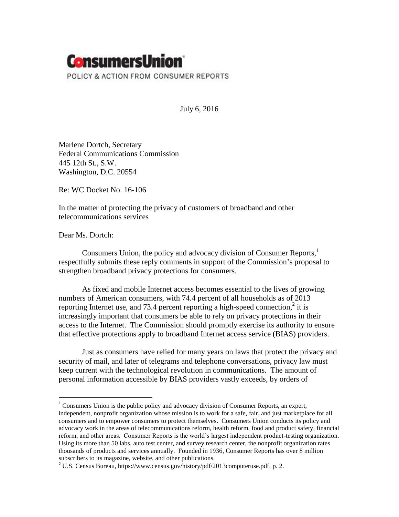

July 6, 2016

Marlene Dortch, Secretary Federal Communications Commission 445 12th St., S.W. Washington, D.C. 20554

Re: WC Docket No. 16-106

In the matter of protecting the privacy of customers of broadband and other telecommunications services

Dear Ms. Dortch:

 $\overline{a}$ 

Consumers Union, the policy and advocacy division of Consumer Reports,<sup>1</sup> respectfully submits these reply comments in support of the Commission's proposal to strengthen broadband privacy protections for consumers.

As fixed and mobile Internet access becomes essential to the lives of growing numbers of American consumers, with 74.4 percent of all households as of 2013 reporting Internet use, and 73.4 percent reporting a high-speed connection, $2$  it is increasingly important that consumers be able to rely on privacy protections in their access to the Internet. The Commission should promptly exercise its authority to ensure that effective protections apply to broadband Internet access service (BIAS) providers.

Just as consumers have relied for many years on laws that protect the privacy and security of mail, and later of telegrams and telephone conversations, privacy law must keep current with the technological revolution in communications. The amount of personal information accessible by BIAS providers vastly exceeds, by orders of

 $1$  Consumers Union is the public policy and advocacy division of Consumer Reports, an expert, independent, nonprofit organization whose mission is to work for a safe, fair, and just marketplace for all consumers and to empower consumers to protect themselves. Consumers Union conducts its policy and advocacy work in the areas of telecommunications reform, health reform, food and product safety, financial reform, and other areas. Consumer Reports is the world's largest independent product-testing organization. Using its more than 50 labs, auto test center, and survey research center, the nonprofit organization rates thousands of products and services annually. Founded in 1936, Consumer Reports has over 8 million subscribers to its magazine, website, and other publications.

<sup>&</sup>lt;sup>2</sup> U.S. Census Bureau, https://www.census.gov/history/pdf/2013computeruse.pdf, p. 2.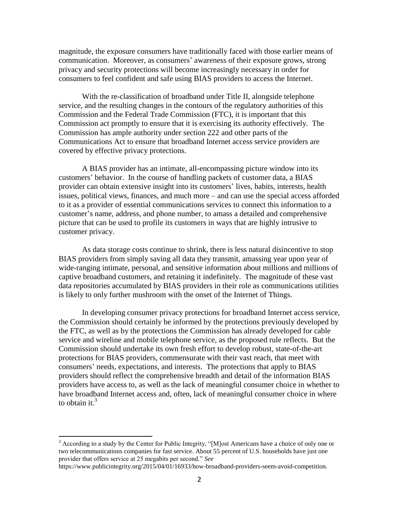magnitude, the exposure consumers have traditionally faced with those earlier means of communication. Moreover, as consumers' awareness of their exposure grows, strong privacy and security protections will become increasingly necessary in order for consumers to feel confident and safe using BIAS providers to access the Internet.

With the re-classification of broadband under Title II, alongside telephone service, and the resulting changes in the contours of the regulatory authorities of this Commission and the Federal Trade Commission (FTC), it is important that this Commission act promptly to ensure that it is exercising its authority effectively. The Commission has ample authority under section 222 and other parts of the Communications Act to ensure that broadband Internet access service providers are covered by effective privacy protections.

A BIAS provider has an intimate, all-encompassing picture window into its customers' behavior. In the course of handling packets of customer data, a BIAS provider can obtain extensive insight into its customers' lives, habits, interests, health issues, political views, finances, and much more – and can use the special access afforded to it as a provider of essential communications services to connect this information to a customer's name, address, and phone number, to amass a detailed and comprehensive picture that can be used to profile its customers in ways that are highly intrusive to customer privacy.

As data storage costs continue to shrink, there is less natural disincentive to stop BIAS providers from simply saving all data they transmit, amassing year upon year of wide-ranging intimate, personal, and sensitive information about millions and millions of captive broadband customers, and retaining it indefinitely. The magnitude of these vast data repositories accumulated by BIAS providers in their role as communications utilities is likely to only further mushroom with the onset of the Internet of Things.

In developing consumer privacy protections for broadband Internet access service, the Commission should certainly be informed by the protections previously developed by the FTC, as well as by the protections the Commission has already developed for cable service and wireline and mobile telephone service, as the proposed rule reflects. But the Commission should undertake its own fresh effort to develop robust, state-of-the-art protections for BIAS providers, commensurate with their vast reach, that meet with consumers' needs, expectations, and interests. The protections that apply to BIAS providers should reflect the comprehensive breadth and detail of the information BIAS providers have access to, as well as the lack of meaningful consumer choice in whether to have broadband Internet access and, often, lack of meaningful consumer choice in where to obtain it.<sup>3</sup>

 $\overline{a}$ 

 $3$  According to a study by the Center for Public Integrity, "[M]ost Americans have a choice of only one or two telecommunications companies for fast service. About 55 percent of U.S. households have just one provider that offers service at 25 megabits per second." *See*

https://www.publicintegrity.org/2015/04/01/16933/how-broadband-providers-seem-avoid-competition.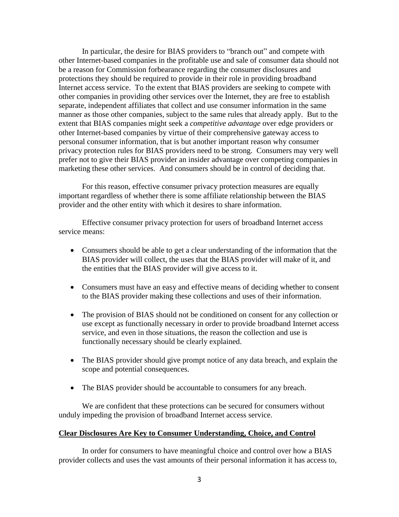In particular, the desire for BIAS providers to "branch out" and compete with other Internet-based companies in the profitable use and sale of consumer data should not be a reason for Commission forbearance regarding the consumer disclosures and protections they should be required to provide in their role in providing broadband Internet access service. To the extent that BIAS providers are seeking to compete with other companies in providing other services over the Internet, they are free to establish separate, independent affiliates that collect and use consumer information in the same manner as those other companies, subject to the same rules that already apply. But to the extent that BIAS companies might seek a *competitive advantage* over edge providers or other Internet-based companies by virtue of their comprehensive gateway access to personal consumer information, that is but another important reason why consumer privacy protection rules for BIAS providers need to be strong. Consumers may very well prefer not to give their BIAS provider an insider advantage over competing companies in marketing these other services. And consumers should be in control of deciding that.

For this reason, effective consumer privacy protection measures are equally important regardless of whether there is some affiliate relationship between the BIAS provider and the other entity with which it desires to share information.

Effective consumer privacy protection for users of broadband Internet access service means:

- Consumers should be able to get a clear understanding of the information that the BIAS provider will collect, the uses that the BIAS provider will make of it, and the entities that the BIAS provider will give access to it.
- Consumers must have an easy and effective means of deciding whether to consent to the BIAS provider making these collections and uses of their information.
- The provision of BIAS should not be conditioned on consent for any collection or use except as functionally necessary in order to provide broadband Internet access service, and even in those situations, the reason the collection and use is functionally necessary should be clearly explained.
- The BIAS provider should give prompt notice of any data breach, and explain the scope and potential consequences.
- The BIAS provider should be accountable to consumers for any breach.

We are confident that these protections can be secured for consumers without unduly impeding the provision of broadband Internet access service.

#### **Clear Disclosures Are Key to Consumer Understanding, Choice, and Control**

In order for consumers to have meaningful choice and control over how a BIAS provider collects and uses the vast amounts of their personal information it has access to,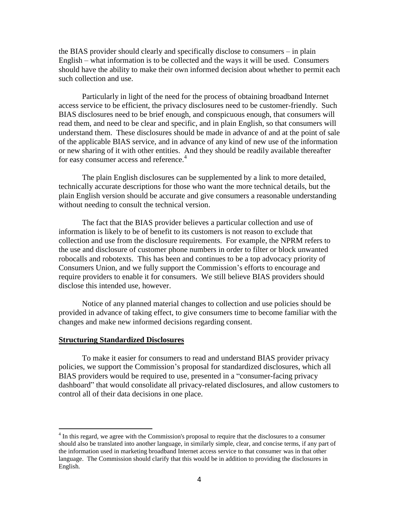the BIAS provider should clearly and specifically disclose to consumers – in plain English – what information is to be collected and the ways it will be used. Consumers should have the ability to make their own informed decision about whether to permit each such collection and use.

Particularly in light of the need for the process of obtaining broadband Internet access service to be efficient, the privacy disclosures need to be customer-friendly. Such BIAS disclosures need to be brief enough, and conspicuous enough, that consumers will read them, and need to be clear and specific, and in plain English, so that consumers will understand them. These disclosures should be made in advance of and at the point of sale of the applicable BIAS service, and in advance of any kind of new use of the information or new sharing of it with other entities. And they should be readily available thereafter for easy consumer access and reference.<sup>4</sup>

The plain English disclosures can be supplemented by a link to more detailed, technically accurate descriptions for those who want the more technical details, but the plain English version should be accurate and give consumers a reasonable understanding without needing to consult the technical version.

The fact that the BIAS provider believes a particular collection and use of information is likely to be of benefit to its customers is not reason to exclude that collection and use from the disclosure requirements. For example, the NPRM refers to the use and disclosure of customer phone numbers in order to filter or block unwanted robocalls and robotexts. This has been and continues to be a top advocacy priority of Consumers Union, and we fully support the Commission's efforts to encourage and require providers to enable it for consumers. We still believe BIAS providers should disclose this intended use, however.

Notice of any planned material changes to collection and use policies should be provided in advance of taking effect, to give consumers time to become familiar with the changes and make new informed decisions regarding consent.

### **Structuring Standardized Disclosures**

 $\overline{a}$ 

To make it easier for consumers to read and understand BIAS provider privacy policies, we support the Commission's proposal for standardized disclosures, which all BIAS providers would be required to use, presented in a "consumer-facing privacy dashboard" that would consolidate all privacy-related disclosures, and allow customers to control all of their data decisions in one place.

<sup>&</sup>lt;sup>4</sup> In this regard, we agree with the Commission's proposal to require that the disclosures to a consumer should also be translated into another language, in similarly simple, clear, and concise terms, if any part of the information used in marketing broadband Internet access service to that consumer was in that other language. The Commission should clarify that this would be in addition to providing the disclosures in English.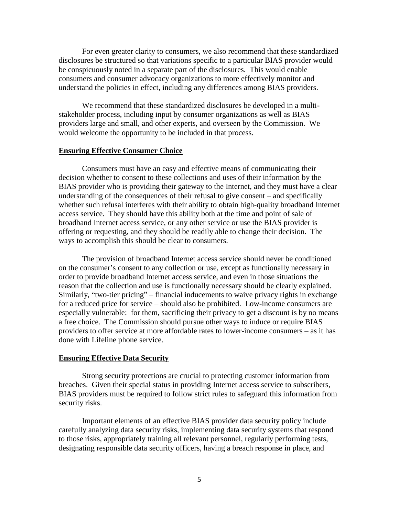For even greater clarity to consumers, we also recommend that these standardized disclosures be structured so that variations specific to a particular BIAS provider would be conspicuously noted in a separate part of the disclosures. This would enable consumers and consumer advocacy organizations to more effectively monitor and understand the policies in effect, including any differences among BIAS providers.

We recommend that these standardized disclosures be developed in a multistakeholder process, including input by consumer organizations as well as BIAS providers large and small, and other experts, and overseen by the Commission. We would welcome the opportunity to be included in that process.

# **Ensuring Effective Consumer Choice**

Consumers must have an easy and effective means of communicating their decision whether to consent to these collections and uses of their information by the BIAS provider who is providing their gateway to the Internet, and they must have a clear understanding of the consequences of their refusal to give consent – and specifically whether such refusal interferes with their ability to obtain high-quality broadband Internet access service. They should have this ability both at the time and point of sale of broadband Internet access service, or any other service or use the BIAS provider is offering or requesting, and they should be readily able to change their decision. The ways to accomplish this should be clear to consumers.

The provision of broadband Internet access service should never be conditioned on the consumer's consent to any collection or use, except as functionally necessary in order to provide broadband Internet access service, and even in those situations the reason that the collection and use is functionally necessary should be clearly explained. Similarly, "two-tier pricing" – financial inducements to waive privacy rights in exchange for a reduced price for service – should also be prohibited. Low-income consumers are especially vulnerable: for them, sacrificing their privacy to get a discount is by no means a free choice. The Commission should pursue other ways to induce or require BIAS providers to offer service at more affordable rates to lower-income consumers – as it has done with Lifeline phone service.

### **Ensuring Effective Data Security**

Strong security protections are crucial to protecting customer information from breaches. Given their special status in providing Internet access service to subscribers, BIAS providers must be required to follow strict rules to safeguard this information from security risks.

Important elements of an effective BIAS provider data security policy include carefully analyzing data security risks, implementing data security systems that respond to those risks, appropriately training all relevant personnel, regularly performing tests, designating responsible data security officers, having a breach response in place, and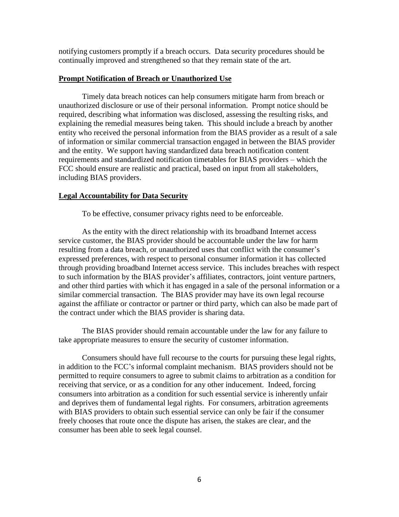notifying customers promptly if a breach occurs. Data security procedures should be continually improved and strengthened so that they remain state of the art.

## **Prompt Notification of Breach or Unauthorized Use**

Timely data breach notices can help consumers mitigate harm from breach or unauthorized disclosure or use of their personal information. Prompt notice should be required, describing what information was disclosed, assessing the resulting risks, and explaining the remedial measures being taken. This should include a breach by another entity who received the personal information from the BIAS provider as a result of a sale of information or similar commercial transaction engaged in between the BIAS provider and the entity. We support having standardized data breach notification content requirements and standardized notification timetables for BIAS providers – which the FCC should ensure are realistic and practical, based on input from all stakeholders, including BIAS providers.

## **Legal Accountability for Data Security**

To be effective, consumer privacy rights need to be enforceable.

As the entity with the direct relationship with its broadband Internet access service customer, the BIAS provider should be accountable under the law for harm resulting from a data breach, or unauthorized uses that conflict with the consumer's expressed preferences, with respect to personal consumer information it has collected through providing broadband Internet access service. This includes breaches with respect to such information by the BIAS provider's affiliates, contractors, joint venture partners, and other third parties with which it has engaged in a sale of the personal information or a similar commercial transaction. The BIAS provider may have its own legal recourse against the affiliate or contractor or partner or third party, which can also be made part of the contract under which the BIAS provider is sharing data.

The BIAS provider should remain accountable under the law for any failure to take appropriate measures to ensure the security of customer information.

Consumers should have full recourse to the courts for pursuing these legal rights, in addition to the FCC's informal complaint mechanism. BIAS providers should not be permitted to require consumers to agree to submit claims to arbitration as a condition for receiving that service, or as a condition for any other inducement. Indeed, forcing consumers into arbitration as a condition for such essential service is inherently unfair and deprives them of fundamental legal rights. For consumers, arbitration agreements with BIAS providers to obtain such essential service can only be fair if the consumer freely chooses that route once the dispute has arisen, the stakes are clear, and the consumer has been able to seek legal counsel.